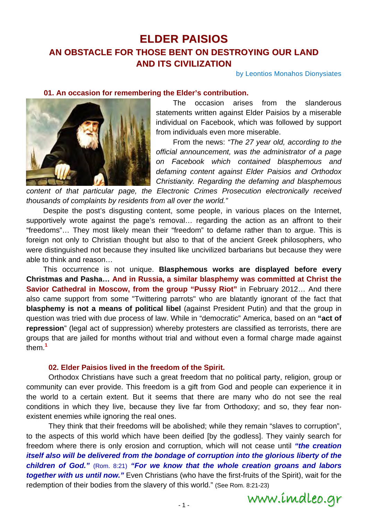# **ELDER PAISIOS AN OBSTACLE FOR THOSE BENT ON DESTROYING OUR LAND AND ITS CIVILIZATION**

by Leontios Monahos Dionysiates

### **01. An occasion for remembering the Elder's contribution.**



 The occasion arises from the slanderous statements written against Elder Paisios by a miserable individual on Facebook, which was followed by support from individuals even more miserable.

 From the news: *"The 27 year old, according to the official announcement, was the administrator of a page on Facebook which contained blasphemous and defaming content against Elder Paisios and Orthodox Christianity. Regarding the defaming and blasphemous* 

*content of that particular page, the Electronic Crimes Prosecution electronically received thousands of complaints by residents from all over the world."* 

 Despite the post's disgusting content, some people, in various places on the Internet, supportively wrote against the page's removal… regarding the action as an affront to their "freedoms"… They most likely mean their "freedom" to defame rather than to argue. This is foreign not only to Christian thought but also to that of the ancient Greek philosophers, who were distinguished not because they insulted like uncivilized barbarians but because they were able to think and reason…

 This occurrence is not unique. **Blasphemous works are displayed before every Christmas and Pasha… And in Russia, a similar blasphemy was committed at Christ the Savior Cathedral in Moscow, from the group "Pussy Riot"** in February 2012… And there also came support from some "Twittering parrots" who are blatantly ignorant of the fact that **blasphemy is not a means of political libel** (against President Putin) and that the group in question was tried with due process of law. While in "democratic" America, based on an **"act of repression**" (legal act of suppression) whereby protesters are classified as terrorists, there are groups that are jailed for months without trial and without even a formal charge made against them.**<sup>1</sup>**

#### **02. Elder Paisios lived in the freedom of the Spirit.**

 Orthodox Christians have such a great freedom that no political party, religion, group or community can ever provide. This freedom is a gift from God and people can experience it in the world to a certain extent. But it seems that there are many who do not see the real conditions in which they live, because they live far from Orthodoxy; and so, they fear nonexistent enemies while ignoring the real ones.

 They think that their freedoms will be abolished; while they remain "slaves to corruption", to the aspects of this world which have been deified [by the godless]. They vainly search for freedom where there is only erosion and corruption, which will not cease until *"the creation itself also will be delivered from the bondage of corruption into the glorious liberty of the children of God."* (Rom. 8:21) *"For we know that the whole creation groans and labors together with us until now."* Even Christians (who have the first-fruits of the Spirit), wait for the redemption of their bodies from the slavery of this world." (See Rom. 8:21-23)

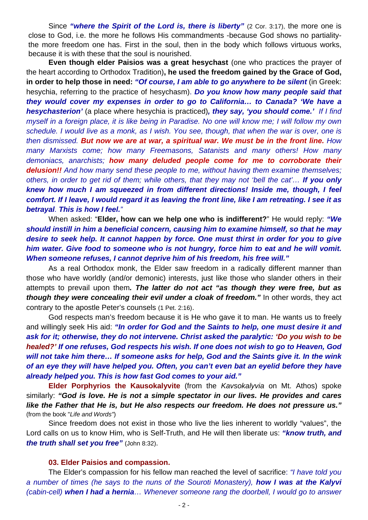Since "where the **Spirit of the Lord is, there is liberty**" (2 Cor. 3:17), the more one is close to God, i.e. the more he follows His commandments -because God shows no partialitythe more freedom one has. First in the soul, then in the body which follows virtuous works, because it is with these that the soul is nourished.

 **Even though elder Paisios was a great hesychast** (one who practices the prayer of the heart according to Orthodox Tradition)**, he used the freedom gained by the Grace of God, in order to help those in need:** *"Of course, I am able to go anywhere to be silent* (in Greek: hesychia, referring to the practice of hesychasm). *Do you know how many people said that they would cover my expenses in order to go to California… to Canada? 'We have a hesychasterion'* (a place where hesychia is practiced)*, they say, 'you should come.' If I find myself in a foreign place, it is like being in Paradise. No one will know me; I will follow my own schedule. I would live as a monk, as I wish. You see, though, that when the war is over, one is then dismissed. But now we are at war, a spiritual war. We must be in the front line. How many Marxists come; how many Freemasons, Satanists and many others! How many demoniacs, anarchists; how many deluded people come for me to corroborate their delusion!! And how many send these people to me, without having them examine themselves; others, in order to get rid of them; while others, that they may not 'bell the cat'… If you only knew how much I am squeezed in from different directions! Inside me, though, I feel comfort. If I leave, I would regard it as leaving the front line, like I am retreating. I see it as betrayal. This is how I feel."* 

 When asked: "**Elder, how can we help one who is indifferent?**" He would reply: *"We should instill in him a beneficial concern, causing him to examine himself, so that he may desire to seek help. It cannot happen by force. One must thirst in order for you to give him water. Give food to someone who is not hungry, force him to eat and he will vomit. When someone refuses, I cannot deprive him of his freedom, his free will."*

 As a real Orthodox monk, the Elder saw freedom in a radically different manner than those who have worldly (and/or demonic) interests, just like those who slander others in their attempts to prevail upon them*. The latter do not act "as though they were free, but as though they were concealing their evil under a cloak of freedom."* In other words, they act contrary to the apostle Peter's counsels (1 Pet. 2:16).

 God respects man's freedom because it is He who gave it to man. He wants us to freely and willingly seek His aid: *"In order for God and the Saints to help, one must desire it and ask for it; otherwise, they do not intervene. Christ asked the paralytic: 'Do you wish to be healed?' If one refuses, God respects his wish. If one does not wish to go to Heaven, God will not take him there… If someone asks for help, God and the Saints give it. In the wink of an eye they will have helped you. Often, you can't even bat an eyelid before they have already helped you. This is how fast God comes to your aid."*

 **Elder Porphyrios the Kausokalyvite** (from the *Kavsokalyvia* on Mt. Athos) spoke similarly: *"God is love. He is not a simple spectator in our lives. He provides and cares like the Father that He is, but He also respects our freedom. He does not pressure us."* (from the book "*Life and Words"*)

 Since freedom does not exist in those who live the lies inherent to worldly "values", the Lord calls on us to know Him, who is Self-Truth, and He will then liberate us: *"know truth, and the truth shall set you free"* (John 8:32).

## **03. Elder Paisios and compassion.**

 The Elder's compassion for his fellow man reached the level of sacrifice: *"I have told you a number of times (he says to the nuns of the Souroti Monastery), how I was at the Kalyvi (cabin-cell) when I had a hernia… Whenever someone rang the doorbell, I would go to answer*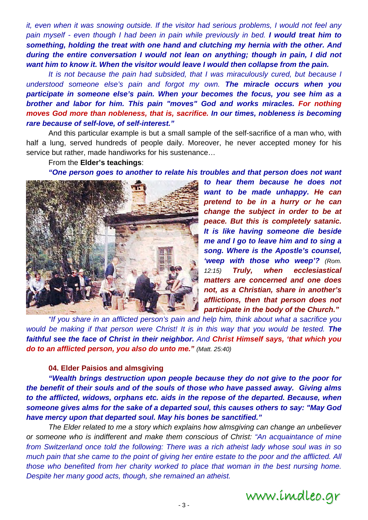*it, even when it was snowing outside. If the visitor had serious problems, I would not feel any pain myself - even though I had been in pain while previously in bed. I would treat him to something, holding the treat with one hand and clutching my hernia with the other. And during the entire conversation I would not lean on anything; though in pain, I did not want him to know it. When the visitor would leave I would then collapse from the pain.*

 *It is not because the pain had subsided, that I was miraculously cured, but because I understood someone else's pain and forgot my own. The miracle occurs when you participate in someone else's pain. When your becomes the focus, you see him as a brother and labor for him. This pain "moves" God and works miracles. For nothing moves God more than nobleness, that is, sacrifice. In our times, nobleness is becoming rare because of self-love, of self-interest."* 

And this particular example is but a small sample of the self-sacrifice of a man who, with half a lung, served hundreds of people daily. Moreover, he never accepted money for his service but rather, made handiworks for his sustenance…

From the **Elder's teachings**:

*"One person goes to another to relate his troubles and that person does not want* 



*to hear them because he does not want to be made unhappy. He can pretend to be in a hurry or he can change the subject in order to be at peace. But this is completely satanic. It is like having someone die beside me and I go to leave him and to sing a song. Where is the Apostle's counsel, 'weep with those who weep'? (Rom. 12:15) Truly, when ecclesiastical matters are concerned and one does not, as a Christian, share in another's afflictions, then that person does not participate in the body of the Church."*

*"If you share in an afflicted person's pain and help him, think about what a sacrifice you would be making if that person were Christ! It is in this way that you would be tested. The faithful see the face of Christ in their neighbor. And Christ Himself says, 'that which you do to an afflicted person, you also do unto me." (Matt. 25:40)* 

## **04. Elder Paisios and almsgiving**

*"Wealth brings destruction upon people because they do not give to the poor for the benefit of their souls and of the souls of those who have passed away. Giving alms to the afflicted, widows, orphans etc. aids in the repose of the departed. Because, when someone gives alms for the sake of a departed soul, this causes others to say: "May God have mercy upon that departed soul. May his bones be sanctified."* 

 *The Elder related to me a story which explains how almsgiving can change an unbeliever or someone who is indifferent and make them conscious of Christ: "An acquaintance of mine from Switzerland once told the following: There was a rich atheist lady whose soul was in so much pain that she came to the point of giving her entire estate to the poor and the afflicted. All those who benefited from her charity worked to place that woman in the best nursing home. Despite her many good acts, though, she remained an atheist.* 

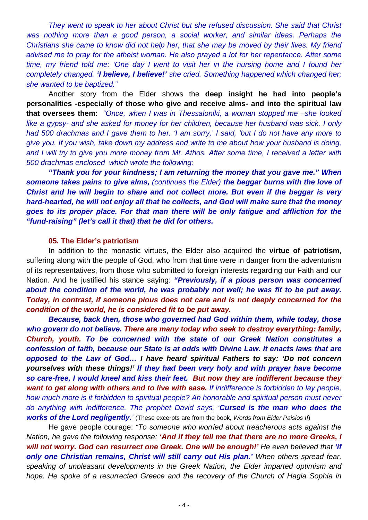*They went to speak to her about Christ but she refused discussion. She said that Christ*  was nothing more than a good person, a social worker, and similar ideas. Perhaps the *Christians she came to know did not help her, that she may be moved by their lives. My friend advised me to pray for the atheist woman. He also prayed a lot for her repentance. After some time, my friend told me: 'One day I went to visit her in the nursing home and I found her completely changed. 'I believe, I believe!' she cried. Something happened which changed her; she wanted to be baptized."* 

 Another story from the Elder shows the **deep insight he had into people's personalities -especially of those who give and receive alms- and into the spiritual law that oversees them**: *"Once, when I was in Thessaloniki, a woman stopped me –she looked like a gypsy- and she asked for money for her children, because her husband was sick. I only had 500 drachmas and I gave them to her. 'I am sorry,' I said, 'but I do not have any more to give you. If you wish, take down my address and write to me about how your husband is doing, and I will try to give you more money from Mt. Athos. After some time, I received a letter with 500 drachmas enclosed which wrote the following:* 

 *"Thank you for your kindness; I am returning the money that you gave me." When someone takes pains to give alms, (continues the Elder) the beggar burns with the love of Christ and he will begin to share and not collect more. But even if the beggar is very hard-hearted, he will not enjoy all that he collects, and God will make sure that the money goes to its proper place. For that man there will be only fatigue and affliction for the "fund-raising" (let's call it that) that he did for others.* 

### **05. The Elder's patriotism**

 In addition to the monastic virtues, the Elder also acquired the **virtue of patriotism**, suffering along with the people of God, who from that time were in danger from the adventurism of its representatives, from those who submitted to foreign interests regarding our Faith and our Nation. And he justified his stance saying: *"Previously, if a pious person was concerned about the condition of the world, he was probably not well; he was fit to be put away. Today, in contrast, if someone pious does not care and is not deeply concerned for the condition of the world, he is considered fit to be put away.* 

 *Because, back then, those who governed had God within them, while today, those who govern do not believe. There are many today who seek to destroy everything: family, Church, youth. To be concerned with the state of our Greek Nation constitutes a confession of faith, because our State is at odds with Divine Law. It enacts laws that are opposed to the Law of God… I have heard spiritual Fathers to say: 'Do not concern yourselves with these things!' If they had been very holy and with prayer have become so care-free, I would kneel and kiss their feet. But now they are indifferent because they want to get along with others and to live with ease. If indifference is forbidden to lay people, how much more is it forbidden to spiritual people? An honorable and spiritual person must never do anything with indifference. The prophet David says, 'Cursed is the man who does the works of the Lord negligently.'* (These excerpts are from the book*, Words from Elder Paisios II*)

 He gave people courage: *"To someone who worried about treacherous acts against the Nation, he gave the following response: 'And if they tell me that there are no more Greeks, I will not worry. God can resurrect one Greek. One will be enough!' He even believed that 'if only one Christian remains, Christ will still carry out His plan.' When others spread fear, speaking of unpleasant developments in the Greek Nation, the Elder imparted optimism and hope. He spoke of a resurrected Greece and the recovery of the Church of Hagia Sophia in*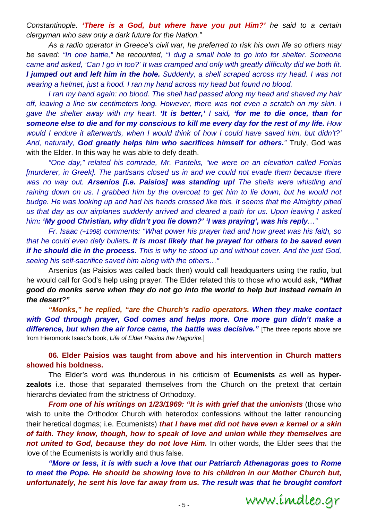*Constantinople. 'There is a God, but where have you put Him?' he said to a certain clergyman who saw only a dark future for the Nation."* 

 *As a radio operator in Greece's civil war, he preferred to risk his own life so others may be saved: "In one battle," he recounted, "I dug a small hole to go into for shelter. Someone came and asked, 'Can I go in too?' It was cramped and only with greatly difficulty did we both fit. I jumped out and left him in the hole. Suddenly, a shell scraped across my head. I was not wearing a helmet, just a hood. I ran my hand across my head but found no blood.* 

*I ran my hand again: no blood. The shell had passed along my head and shaved my hair* off, leaving a line six centimeters long. However, there was not even a scratch on my skin. I *gave the shelter away with my heart. 'It is better,' I said, 'for me to die once, than for someone else to die and for my conscious to kill me every day for the rest of my life. How would I endure it afterwards, when I would think of how I could have saved him, but didn't?' And, naturally, God greatly helps him who sacrifices himself for others."* Truly, God was with the Elder. In this way he was able to defy death.

*"One day," related his comrade, Mr. Pantelis, "we were on an elevation called Fonias [murderer, in Greek]. The partisans closed us in and we could not evade them because there was no way out. Arsenios [i.e. Paisios] was standing up! The shells were whistling and*  raining down on us. I grabbed him by the overcoat to get him to lie down, but he would not *budge. He was looking up and had his hands crossed like this. It seems that the Almighty pitied us that day as our airplanes suddenly arrived and cleared a path for us. Upon leaving I asked him: 'My good Christian, why didn't you lie down?' 'I was praying', was his reply…"* 

*Fr. Isaac (+1998) comments: "What power his prayer had and how great was his faith, so that he could even defy bullets. It is most likely that he prayed for others to be saved even if he should die in the process. This is why he stood up and without cover. And the just God, seeing his self-sacrifice saved him along with the others…"* 

Arsenios (as Paisios was called back then) would call headquarters using the radio, but he would call for God's help using prayer. The Elder related this to those who would ask, *"What good do monks serve when they do not go into the world to help but instead remain in the desert?"* 

 *"Monks," he replied, "are the Church's radio operators. When they make contact*  with God through prayer, God comes and helps more. One more gun didn't make a **difference, but when the air force came, the battle was decisive.**" [The three reports above are from Hieromonk Isaac's book, *Life of Elder Paisios the Hagiorite*.]

 **06. Elder Paisios was taught from above and his intervention in Church matters showed his boldness.** 

 The Elder's word was thunderous in his criticism of **Ecumenists** as well as **hyperzealots** i.e. those that separated themselves from the Church on the pretext that certain hierarchs deviated from the strictness of Orthodoxy.

*From one of his writings on 1/23/1969: "It is with grief that the unionists (those who* wish to unite the Orthodox Church with heterodox confessions without the latter renouncing their heretical dogmas; i.e. Ecumenists) *that I have met did not have even a kernel or a skin of faith. They know, though, how to speak of love and union while they themselves are not united to God, because they do not love Him.* In other words, the Elder sees that the love of the Ecumenists is worldly and thus false.

*"More or less, it is with such a love that our Patriarch Athenagoras goes to Rome to meet the Pope. He should be showing love to his children in our Mother Church but, unfortunately, he sent his love far away from us. The result was that he brought comfort* 

www.imdleo.gr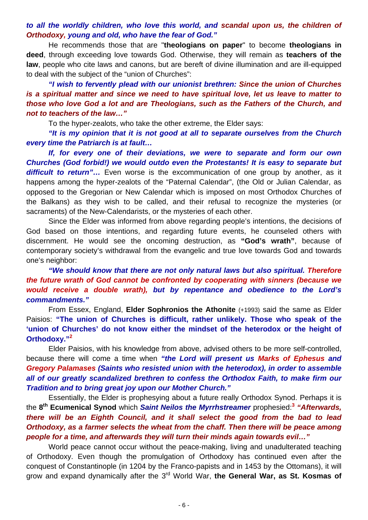# *to all the worldly children, who love this world, and scandal upon us, the children of Orthodoxy, young and old, who have the fear of God."*

 He recommends those that are "**theologians on paper**" to become **theologians in deed**, through exceeding love towards God. Otherwise, they will remain as **teachers of the law**, people who cite laws and canons, but are bereft of divine illumination and are ill-equipped to deal with the subject of the "union of Churches":

*"I wish to fervently plead with our unionist brethren: Since the union of Churches is a spiritual matter and since we need to have spiritual love, let us leave to matter to those who love God a lot and are Theologians, such as the Fathers of the Church, and not to teachers of the law…"*

To the hyper-zealots, who take the other extreme, the Elder says:

 *"It is my opinion that it is not good at all to separate ourselves from the Church every time the Patriarch is at fault…* 

*If, for every one of their deviations, we were to separate and form our own Churches (God forbid!) we would outdo even the Protestants! It is easy to separate but*  **difficult to return"...** Even worse is the excommunication of one group by another, as it happens among the hyper-zealots of the "Paternal Calendar", (the Old or Julian Calendar, as opposed to the Gregorian or New Calendar which is imposed on most Orthodox Churches of the Balkans) as they wish to be called, and their refusal to recognize the mysteries (or sacraments) of the New-Calendarists, or the mysteries of each other.

 Since the Elder was informed from above regarding people's intentions, the decisions of God based on those intentions, and regarding future events, he counseled others with discernment. He would see the oncoming destruction, as **"God's wrath"**, because of contemporary society's withdrawal from the evangelic and true love towards God and towards one's neighbor:

# *"We should know that there are not only natural laws but also spiritual. Therefore the future wrath of God cannot be confronted by cooperating with sinners (because we would receive a double wrath), but by repentance and obedience to the Lord's commandments."*

 From Essex, England, **Elder Sophronios the Athonite** (+1993) said the same as Elder Paisios: **"The union of Churches is difficult, rather unlikely. Those who speak of the 'union of Churches' do not know either the mindset of the heterodox or the height of Orthodoxy."<sup>2</sup>**

 Elder Paisios, with his knowledge from above, advised others to be more self-controlled, because there will come a time when *"the Lord will present us Marks of Ephesus and Gregory Palamases (Saints who resisted union with the heterodox), in order to assemble all of our greatly scandalized brethren to confess the Orthodox Faith, to make firm our Tradition and to bring great joy upon our Mother Church."*

 Essentially, the Elder is prophesying about a future really Orthodox Synod. Perhaps it is the **8th Ecumenical Synod** which *Saint Neilos the Myrrhstreamer* prophesied:**<sup>3</sup>** *"Afterwards, there will be an Eighth Council, and it shall select the good from the bad to lead Orthodoxy, as a farmer selects the wheat from the chaff. Then there will be peace among people for a time, and afterwards they will turn their minds again towards evil…"*

 World peace cannot occur without the peace-making, living and unadulterated teaching of Orthodoxy. Even though the promulgation of Orthodoxy has continued even after the conquest of Constantinople (in 1204 by the Franco-papists and in 1453 by the Ottomans), it will grow and expand dynamically after the 3rd World War, **the General War, as St. Kosmas of**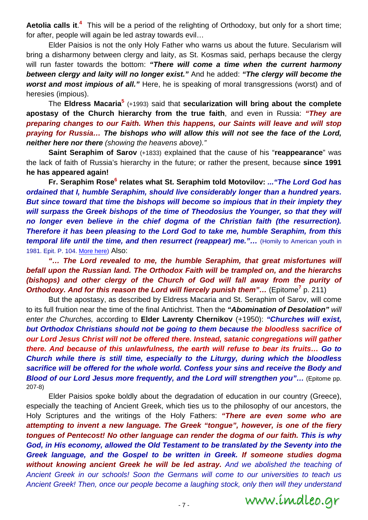Aetolia calls it.<sup>4</sup> This will be a period of the relighting of Orthodoxy, but only for a short time; for after, people will again be led astray towards evil...

 Elder Paisios is not the only Holy Father who warns us about the future. Secularism will bring a disharmony between clergy and laity, as St. Kosmas said, perhaps because the clergy will run faster towards the bottom: *"There will come a time when the current harmony between clergy and laity will no longer exist."* And he added: *"The clergy will become the worst and most impious of all."* Here, he is speaking of moral transgressions (worst) and of heresies (impious).

 The **Eldress Macaria5** (+1993) said that **secularization will bring about the complete apostasy of the Church hierarchy from the true faith**, and even in Russia: *"They are preparing changes to our Faith. When this happens, our Saints will leave and will stop praying for Russia… The bishops who will allow this will not see the face of the Lord, neither here nor there (showing the heavens above)."*

**Saint Seraphim of Sarov** (+1833) explained that the cause of his "**reappearance**" was the lack of faith of Russia's hierarchy in the future; or rather the present, because **since 1991 he has appeared again!** 

 **Fr. Seraphim Rose6 relates what St. Seraphim told Motovilov:** *..."The Lord God has ordained that I, humble Seraphim, should live considerably longer than a hundred years. But since toward that time the bishops will become so impious that in their impiety they will surpass the Greek bishops of the time of Theodosius the Younger, so that they will no longer even believe in the chief dogma of the Christian faith (the resurrection). Therefore it has been pleasing to the Lord God to take me, humble Seraphim, from this temporal life until the time, and then resurrect (reappear) me."...* (Homily to American youth in 1981. Epit. P. 104. More here) Also:

 *"… The Lord revealed to me, the humble Seraphim, that great misfortunes will befall upon the Russian land. The Orthodox Faith will be trampled on, and the hierarchs (bishops) and other clergy of the Church of God will fall away from the purity of* **Orthodoxy. And for this reason the Lord will fiercely punish them"... (Epitome<sup>7</sup> p. 211)** 

 But the apostasy, as described by Eldress Macaria and St. Seraphim of Sarov, will come to its full fruition near the time of the final Antichrist. Then the *"Abomination of Desolation" will enter the Churches,* according to **Elder Lavrenty Chernikov** (+1950): *"Churches will exist, but Orthodox Christians should not be going to them because the bloodless sacrifice of our Lord Jesus Christ will not be offered there. Instead, satanic congregations will gather there. And because of this unlawfulness, the earth will refuse to bear its fruits… Go to Church while there is still time, especially to the Liturgy, during which the bloodless sacrifice will be offered for the whole world. Confess your sins and receive the Body and Blood of our Lord Jesus more frequently, and the Lord will strengthen you"...* **(Epitome pp.** 207-8)

 Elder Paisios spoke boldly about the degradation of education in our country (Greece), especially the teaching of Ancient Greek, which ties us to the philosophy of our ancestors, the Holy Scriptures and the writings of the Holy Fathers: *"There are even some who are attempting to invent a new language. The Greek "tongue", however, is one of the fiery tongues of Pentecost! No other language can render the dogma of our faith. This is why God, in His economy, allowed the Old Testament to be translated by the Seventy into the Greek language, and the Gospel to be written in Greek. If someone studies dogma without knowing ancient Greek he will be led astray. And we abolished the teaching of Ancient Greek in our schools! Soon the Germans will come to our universities to teach us Ancient Greek! Then, once our people become a laughing stock, only then will they understand* 

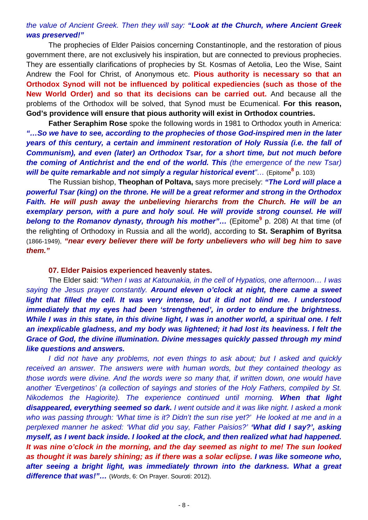# *the value of Ancient Greek. Then they will say: "Look at the Church, where Ancient Greek was preserved!"*

 The prophecies of Elder Paisios concerning Constantinople, and the restoration of pious government there, are not exclusively his inspiration, but are connected to previous prophecies. They are essentially clarifications of prophecies by St. Kosmas of Aetolia, Leo the Wise, Saint Andrew the Fool for Christ, of Anonymous etc. **Pious authority is necessary so that an Orthodox Synod will not be influenced by political expediencies (such as those of the New World Order) and so that its decisions can be carried out.** And because all the problems of the Orthodox will be solved, that Synod must be Ecumenical. **For this reason, God's providence will ensure that pious authority will exist in Orthodox countries.** 

**Father Seraphim Rose** spoke the following words in 1981 to Orthodox youth in America: *"…So we have to see, according to the prophecies of those God-inspired men in the later years of this century, a certain and imminent restoration of Holy Russia (i.e. the fall of Communism), and even (later) an Orthodox Tsar, for a short time, but not much before the coming of Antichrist and the end of the world. This (the emergence of the new Tsar)* will be quite remarkable and not simply a regular historical event<sup>"</sup>... (Epitome<sup>8</sup> p. 103)

 The Russian bishop, **Theophan of Poltava,** says more precisely: *"The Lord will place a powerful Tsar (king) on the throne. He will be a great reformer and strong in the Orthodox Faith. He will push away the unbelieving hierarchs from the Church. He will be an*  exemplary person, with a pure and holy soul. He will provide strong counsel. He will **belong to the Romanov dynasty, through his mother"...** (Epitome<sup>9</sup> p. 208) At that time (of the relighting of Orthodoxy in Russia and all the world), according to **St. Seraphim of Byritsa** (1866-1949), *"near every believer there will be forty unbelievers who will beg him to save them."*

### **07. Elder Paisios experienced heavenly states.**

 The Elder said: *"When I was at Katounakia, in the cell of Hypatios, one afternoon… I was saying the Jesus prayer constantly. Around eleven o'clock at night, there came a sweet light that filled the cell. It was very intense, but it did not blind me. I understood immediately that my eyes had been 'strengthened', in order to endure the brightness. While I was in this state, in this divine light, I was in another world, a spiritual one. I felt an inexplicable gladness, and my body was lightened; it had lost its heaviness. I felt the Grace of God, the divine illumination. Divine messages quickly passed through my mind like questions and answers.*

*I did not have any problems, not even things to ask about; but I asked and quickly received an answer. The answers were with human words, but they contained theology as those words were divine. And the words were so many that, if written down, one would have another 'Evergetinos' (a collection of sayings and stories of the Holy Fathers, compiled by St. Nikodemos the Hagiorite). The experience continued until morning. When that light disappeared, everything seemed so dark. I went outside and it was like night. I asked a monk who was passing through: 'What time is it? Didn't the sun rise yet?' He looked at me and in a perplexed manner he asked: 'What did you say, Father Paisios?' 'What did I say?', asking myself, as I went back inside. I looked at the clock, and then realized what had happened. It was nine o'clock in the morning, and the day seemed as night to me! The sun looked as thought it was barely shining; as if there was a solar eclipse. I was like someone who, after seeing a bright light, was immediately thrown into the darkness. What a great difference that was!"…* (*Words*, 6: On Prayer. Souroti: 2012).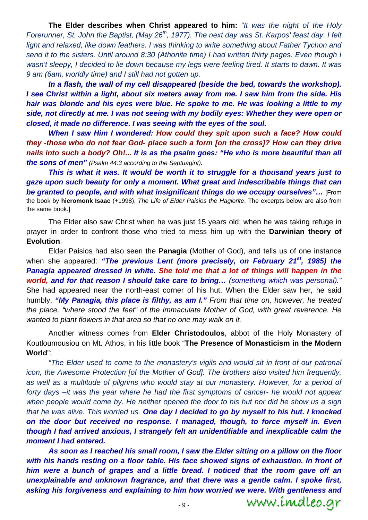**The Elder describes when Christ appeared to him:** *"It was the night of the Holy Forerunner, St. John the Baptist, (May 26<sup>th</sup>, 1977). The next day was St. Karpos' feast day. I felt light and relaxed, like down feathers. I was thinking to write something about Father Tychon and send it to the sisters. Until around 8:30 (Athonite time) I had written thirty pages. Even though I*  wasn't sleepy, I decided to lie down because my legs were feeling tired. It starts to dawn. It was *9 am (6am, worldly time) and I still had not gotten up.* 

 *In a flash, the wall of my cell disappeared (beside the bed, towards the workshop). I see Christ within a light, about six meters away from me. I saw him from the side. His hair was blonde and his eyes were blue. He spoke to me. He was looking a little to my side, not directly at me. I was not seeing with my bodily eyes: Whether they were open or closed, it made no difference. I was seeing with the eyes of the soul.* 

*When I saw Him I wondered: How could they spit upon such a face? How could they -those who do not fear God- place such a form [on the cross]? How can they drive nails into such a body? Oh!... It is as the psalm goes: "He who is more beautiful than all the sons of men" (Psalm 44:3 according to the Septuagint).* 

*This is what it was. It would be worth it to struggle for a thousand years just to gaze upon such beauty for only a moment. What great and indescribable things that can be granted to people, and with what insignificant things do we occupy ourselves"…* [From the book by **hieromonk Isaac** (+1998), *The Life of Elder Paisios the Hagiorite*. The excerpts below are also from the same book.]

 The Elder also saw Christ when he was just 15 years old; when he was taking refuge in prayer in order to confront those who tried to mess him up with the **Darwinian theory of Evolution**.

 Elder Paisios had also seen the **Panagia** (Mother of God), and tells us of one instance when she appeared: *"The previous Lent (more precisely, on February 21st, 1985) the Panagia appeared dressed in white. She told me that a lot of things will happen in the world, and for that reason I should take care to bring… (something which was personal)."* She had appeared near the north-east corner of his hut. When the Elder saw her, he said humbly, *"My Panagia, this place is filthy, as am I." From that time on, however, he treated the place, "where stood the feet" of the immaculate Mother of God, with great reverence. He wanted to plant flowers in that area so that no one may walk on it.*

 Another witness comes from **Elder Christodoulos**, abbot of the Holy Monastery of Koutloumousiou on Mt. Athos, in his little book "**The Presence of Monasticism in the Modern World**":

*"The Elder used to come to the monastery's vigils and would sit in front of our patronal icon, the Awesome Protection [of the Mother of God]. The brothers also visited him frequently, as well as a multitude of pilgrims who would stay at our monastery. However, for a period of forty days –it was the year where he had the first symptoms of cancer- he would not appear when people would come by. He neither opened the door to his hut nor did he show us a sign that he was alive. This worried us. One day I decided to go by myself to his hut. I knocked on the door but received no response. I managed, though, to force myself in. Even though I had arrived anxious, I strangely felt an unidentifiable and inexplicable calm the moment I had entered.* 

 *As soon as I reached his small room, I saw the Elder sitting on a pillow on the floor*  with his hands resting on a floor table. His face showed signs of exhaustion. In front of *him were a bunch of grapes and a little bread. I noticed that the room gave off an unexplainable and unknown fragrance, and that there was a gentle calm. I spoke first, asking his forgiveness and explaining to him how worried we were. With gentleness and*  www.imdleo.gr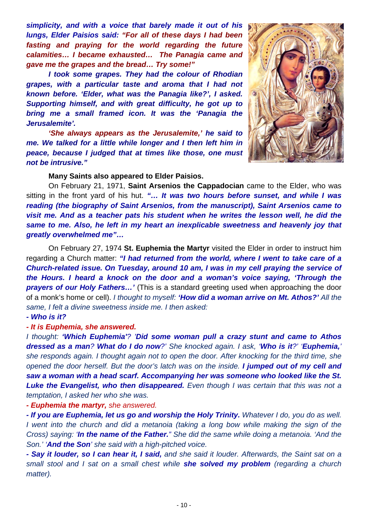*simplicity, and with a voice that barely made it out of his lungs, Elder Paisios said: "For all of these days I had been fasting and praying for the world regarding the future calamities… I became exhausted… The Panagia came and gave me the grapes and the bread… Try some!"* 

 *I took some grapes. They had the colour of Rhodian grapes, with a particular taste and aroma that I had not known before. 'Elder, what was the Panagia like?', I asked. Supporting himself, and with great difficulty, he got up to bring me a small framed icon. It was the 'Panagia the Jerusalemite'.* 

 *'She always appears as the Jerusalemite,' he said to me. We talked for a little while longer and I then left him in peace, because I judged that at times like those, one must not be intrusive."* 



 **Many Saints also appeared to Elder Paisios.** 

 On February 21, 1971, **Saint Arsenios the Cappadocian** came to the Elder, who was sitting in the front yard of his hut. *"… It was two hours before sunset, and while I was reading (the biography of Saint Arsenios, from the manuscript), Saint Arsenios came to visit me. And as a teacher pats his student when he writes the lesson well, he did the same to me. Also, he left in my heart an inexplicable sweetness and heavenly joy that greatly overwhelmed me"…*

 On February 27, 1974 **St. Euphemia the Martyr** visited the Elder in order to instruct him regarding a Church matter: *"I had returned from the world, where I went to take care of a Church-related issue. On Tuesday, around 10 am, I was in my cell praying the service of the Hours. I heard a knock on the door and a woman's voice saying, 'Through the prayers of our Holy Fathers…'* (This is a standard greeting used when approaching the door of a monk's home or cell). *I thought to myself: 'How did a woman arrive on Mt. Athos?' All the same, I felt a divine sweetness inside me. I then asked:*

#### *- Who is it?*

### *- It is Euphemia, she answered.*

*I thought: 'Which Euphemia'? 'Did some woman pull a crazy stunt and came to Athos dressed as a man? What do I do now?' She knocked again. I ask, 'Who is it?' 'Euphemia,' she responds again. I thought again not to open the door. After knocking for the third time, she opened the door herself. But the door's latch was on the inside. I jumped out of my cell and saw a woman with a head scarf. Accompanying her was someone who looked like the St. Luke the Evangelist, who then disappeared. Even though I was certain that this was not a temptation, I asked her who she was.* 

*- Euphemia the martyr, she answered.* 

*- If you are Euphemia, let us go and worship the Holy Trinity. Whatever I do, you do as well. I* went into the church and did a metanoia (taking a long bow while making the sign of the *Cross) saying: 'In the name of the Father." She did the same while doing a metanoia. 'And the Son.' 'And the Son' she said with a high-pitched voice.* 

*- Say it louder, so I can hear it, I said, and she said it louder. Afterwards, the Saint sat on a small stool and I sat on a small chest while she solved my problem (regarding a church matter).*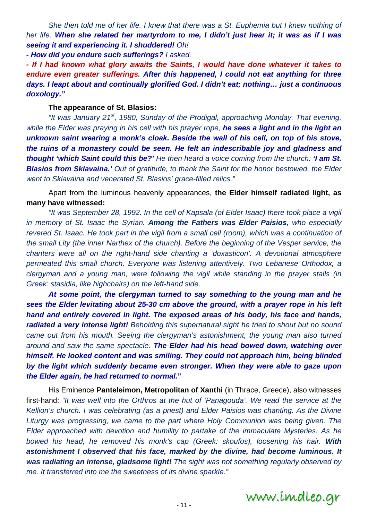*She then told me of her life. I knew that there was a St. Euphemia but I knew nothing of her life. When she related her martyrdom to me, I didn't just hear it; it was as if I was seeing it and experiencing it. I shuddered! Oh!* 

*- How did you endure such sufferings? I asked.* 

*- If I had known what glory awaits the Saints, I would have done whatever it takes to endure even greater sufferings. After this happened, I could not eat anything for three days. I leapt about and continually glorified God. I didn't eat; nothing… just a continuous doxology."* 

## **The appearance of St. Blasios:**

*"It was January 21st, 1980, Sunday of the Prodigal, approaching Monday. That evening, while the Elder was praying in his cell with his prayer rope, he sees a light and in the light an unknown saint wearing a monk's cloak. Beside the wall of his cell, on top of his stove, the ruins of a monastery could be seen. He felt an indescribable joy and gladness and thought 'which Saint could this be?' He then heard a voice coming from the church: 'I am St. Blasios from Sklavaina.' Out of gratitude, to thank the Saint for the honor bestowed, the Elder went to Sklavaina and venerated St. Blasios' grace-filled relics."*

 Apart from the luminous heavenly appearances, **the Elder himself radiated light, as many have witnessed:**

*"It was September 28, 1992. In the cell of Kapsala (of Elder Isaac) there took place a vigil in memory of St. Isaac the Syrian. Among the Fathers was Elder Paisios, who especially revered St. Isaac. He took part in the vigil from a small cell (room), which was a continuation of the small Lity (the inner Narthex of the church). Before the beginning of the Vesper service, the chanters were all on the right-hand side chanting a 'doxasticon'. A devotional atmosphere permeated this small church. Everyone was listening attentively. Two Lebanese Orthodox, a clergyman and a young man, were following the vigil while standing in the prayer stalls (in Greek: stasidia, like highchairs) on the left-hand side.* 

*At some point, the clergyman turned to say something to the young man and he sees the Elder levitating about 25-30 cm above the ground, with a prayer rope in his left hand and entirely covered in light. The exposed areas of his body, his face and hands, radiated a very intense light! Beholding this supernatural sight he tried to shout but no sound came out from his mouth. Seeing the clergyman's astonishment, the young man also turned around and saw the same spectacle. The Elder had his head bowed down, watching over himself. He looked content and was smiling. They could not approach him, being blinded by the light which suddenly became even stronger. When they were able to gaze upon the Elder again, he had returned to normal.***"** 

His Eminence **Panteleimon, Metropolitan of Xanthi** (in Thrace, Greece), also witnesses first-hand: *"It was well into the Orthros at the hut of 'Panagouda'. We read the service at the Kellion's church. I was celebrating (as a priest) and Elder Paisios was chanting. As the Divine Liturgy was progressing, we came to the part where Holy Communion was being given. The Elder approached with devotion and humility to partake of the immaculate Mysteries. As he bowed his head, he removed his monk's cap (Greek: skoufos), loosening his hair. With astonishment I observed that his face, marked by the divine, had become luminous. It was radiating an intense, gladsome light! The sight was not something regularly observed by me. It transferred into me the sweetness of its divine sparkle."*

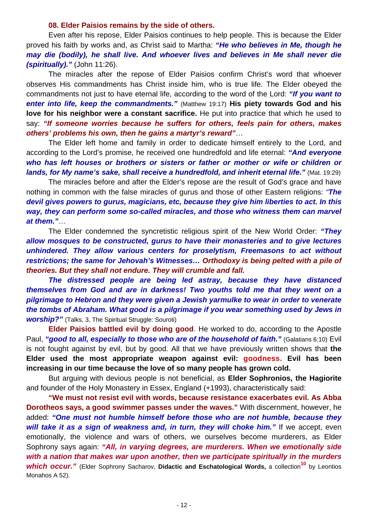### **08. Elder Paisios remains by the side of others.**

 Even after his repose, Elder Paisios continues to help people. This is because the Elder proved his faith by works and, as Christ said to Martha: *"He who believes in Me, though he may die (bodily), he shall live. And whoever lives and believes in Me shall never die (spiritually)."* (John 11:26).

 The miracles after the repose of Elder Paisios confirm Christ's word that whoever observes His commandments has Christ inside him, who is true life. The Elder obeyed the commandments not just to have eternal life, according to the word of the Lord: *"If you want to enter into life, keep the commandments."* (Matthew 19:17) **His piety towards God and his love for his neighbor were a constant sacrifice.** He put into practice that which he used to say: *"If someone worries because he suffers for others, feels pain for others, makes others' problems his own, then he gains a martyr's reward"*…

 The Elder left home and family in order to dedicate himself entirely to the Lord, and according to the Lord's promise, he received one hundredfold and life eternal: *"And everyone who has left houses or brothers or sisters or father or mother or wife or children or lands, for My name's sake, shall receive a hundredfold, and inherit eternal life." (Mat. 19:29)* 

 The miracles before and after the Elder's repose are the result of God's grace and have nothing in common with the false miracles of gurus and those of other Eastern religions: *"The devil gives powers to gurus, magicians, etc, because they give him liberties to act. In this way, they can perform some so-called miracles, and those who witness them can marvel at them."*…

 The Elder condemned the syncretistic religious spirit of the New World Order: *"They allow mosques to be constructed, gurus to have their monasteries and to give lectures unhindered. They allow various centers for proselytism, Freemasons to act without restrictions; the same for Jehovah's Witnesses… Orthodoxy is being pelted with a pile of theories. But they shall not endure. They will crumble and fall.* 

*The distressed people are being led astray, because they have distanced themselves from God and are in darkness! Two youths told me that they went on a pilgrimage to Hebron and they were given a Jewish yarmulke to wear in order to venerate the tombs of Abraham. What good is a pilgrimage if you wear something used by Jews in worship?"* (Talks, 3, The Spiritual Struggle: Souroti)

 **Elder Paisios battled evil by doing good**. He worked to do, according to the Apostle Paul, "good to all, especially to those who are of the household of faith." (Galatians 6:10) Evil is not fought against by evil, but by good. All that we have previously written shows that **the Elder used the most appropriate weapon against evil: goodness. Evil has been increasing in our time because the love of so many people has grown cold.**

But arguing with devious people is not beneficial, as **Elder Sophronios, the Hagiorite** and founder of the Holy Monastery in Essex, England (+1993), characteristically said:

**"We must not resist evil with words, because resistance exacerbates evil. As Abba Dorotheos says, a good swimmer passes under the waves."** With discernment, however, he added: *"One must not humble himself before those who are not humble, because they*  will take it as a sign of weakness and, in turn, they will choke him." If we accept, even emotionally, the violence and wars of others, we ourselves become murderers, as Elder Sophrony says again: *"All, in varying degrees, are murderers. When we emotionally side with a nation that makes war upon another, then we participate spiritually in the murders which occur."* (Elder Sophrony Sacharov, **Didactic and Eschatological Words,** a collection**10** by Leontios Monahos A 52).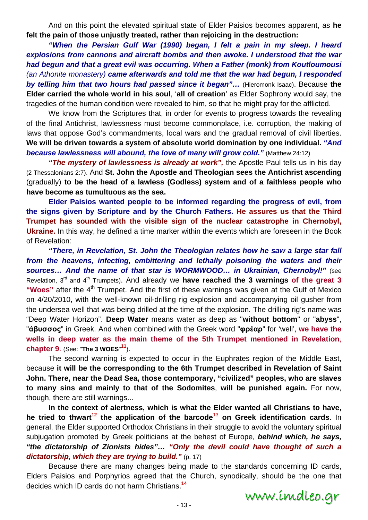And on this point the elevated spiritual state of Elder Paisios becomes apparent, as **he felt the pain of those unjustly treated, rather than rejoicing in the destruction:** 

 *"When the Persian Gulf War (1990) began, I felt a pain in my sleep. I heard explosions from cannons and aircraft bombs and then awoke. I understood that the war had begun and that a great evil was occurring. When a Father (monk) from Koutloumousi (an Athonite monastery) came afterwards and told me that the war had begun, I responded by telling him that two hours had passed since it began"…* (Hieromonk Isaac). Because **the Elder carried the whole world in his soul**, '**all of creation**' as Elder Sophrony would say, the tragedies of the human condition were revealed to him, so that he might pray for the afflicted.

 We know from the Scriptures that, in order for events to progress towards the revealing of the final Antichrist, lawlessness must become commonplace, i.e. corruption, the making of laws that oppose God's commandments, local wars and the gradual removal of civil liberties. **We will be driven towards a system of absolute world domination by one individual.** *"And*  **because lawlessness will abound, the love of many will grow cold."** (Matthew 24:12)

*"The mystery of lawlessness is already at work",* the Apostle Paul tells us in his day (2 Thessalonians 2:7). And **St. John the Apostle and Theologian sees the Antichrist ascending**  (gradually) **to be the head of a lawless (Godless) system and of a faithless people who have become as tumultuous as the sea.**

 **Elder Paisios wanted people to be informed regarding the progress of evil, from the signs given by Scripture and by the Church Fathers. He assures us that the Third Trumpet has sounded with the visible sign of the nuclear catastrophe in Chernobyl, Ukraine.** In this way, he defined a time marker within the events which are foreseen in the Book of Revelation:

 *"There, in Revelation, St. John the Theologian relates how he saw a large star fall from the heavens, infecting, embittering and lethally poisoning the waters and their sources… And the name of that star is WORMWOOD… in Ukrainian, Chernobyl!"* (see Revelation, 3rd and 4th Trumpets). And already we **have reached the 3 warnings of the great 3**  "Woes" after the 4<sup>th</sup> Trumpet. And the first of these warnings was given at the Gulf of Mexico on 4/20/2010, with the well-known oil-drilling rig explosion and accompanying oil gusher from the undersea well that was being drilled at the time of the explosion. The drilling rig's name was "Deep Water Horizon". **Deep Water** means water as deep as "**without bottom**" or "**abyss**", "**άβυσσος**" in Greek. And when combined with the Greek word "**φρέαρ**" for 'well', **we have the wells in deep water as the main theme of the 5th Trumpet mentioned in Revelation**, **chapter 9**. (See: "**The 3 WOES**" **<sup>11</sup>**).

 The second warning is expected to occur in the Euphrates region of the Middle East, because **it will be the corresponding to the 6th Trumpet described in Revelation of Saint John. There, near the Dead Sea, those contemporary, "civilized" peoples, who are slaves to many sins and mainly to that of the Sodomites**, **will be punished again.** For now, though, there are still warnings...

 **In the context of alertness, which is what the Elder wanted all Christians to have, he tried to thwart<sup>12</sup> the application of the barcode<sup>13</sup> on Greek identification cards. In** general, the Elder supported Orthodox Christians in their struggle to avoid the voluntary spiritual subjugation promoted by Greek politicians at the behest of Europe, *behind which, he says, "the dictatorship of Zionists hides"… "Only the devil could have thought of such a dictatorship, which they are trying to build."* (p. 17)

 Because there are many changes being made to the standards concerning ID cards, Elders Paisios and Porphyrios agreed that the Church, synodically, should be the one that decides which ID cards do not harm Christians.**<sup>14</sup>**

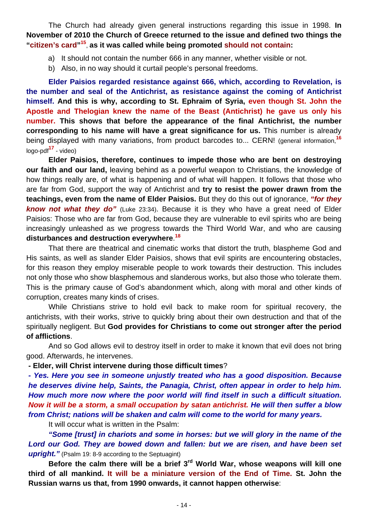The Church had already given general instructions regarding this issue in 1998. **In November of 2010 the Church of Greece returned to the issue and defined two things the "citizen's card"<sup>15</sup>**, **as it was called while being promoted should not contain:**

- a) It should not contain the number 666 in any manner, whether visible or not.
- b) Also, in no way should it curtail people's personal freedoms.

 **Elder Paisios regarded resistance against 666, which, according to Revelation, is the number and seal of the Antichrist, as resistance against the coming of Antichrist himself. And this is why, according to St. Ephraim of Syria, even though St. John the Apostle and Thelogian knew the name of the Beast (Antichrist) he gave us only his number. This shows that before the appearance of the final Antichrist, the number corresponding to his name will have a great significance for us.** This number is already being displayed with many variations, from product barcodes to... CERN! (general information,**<sup>16</sup>** logo-pdf**17** - video)

 **Elder Paisios, therefore, continues to impede those who are bent on destroying our faith and our land,** leaving behind as a powerful weapon to Christians, the knowledge of how things really are, of what is happening and of what will happen. It follows that those who are far from God, support the way of Antichrist and **try to resist the power drawn from the teachings, even from the name of Elder Paisios.** But they do this out of ignorance, *"for they know not what they do"* (Luke 23:34). Because it is they who have a great need of Elder Paisios: Those who are far from God, because they are vulnerable to evil spirits who are being increasingly unleashed as we progress towards the Third World War, and who are causing **disturbances and destruction everywhere**. **18**

 That there are theatrical and cinematic works that distort the truth, blaspheme God and His saints, as well as slander Elder Paisios, shows that evil spirits are encountering obstacles, for this reason they employ miserable people to work towards their destruction. This includes not only those who show blasphemous and slanderous works, but also those who tolerate them. This is the primary cause of God's abandonment which, along with moral and other kinds of corruption, creates many kinds of crises.

 While Christians strive to hold evil back to make room for spiritual recovery, the antichrists, with their works, strive to quickly bring about their own destruction and that of the spiritually negligent. But **God provides for Christians to come out stronger after the period of afflictions**.

 And so God allows evil to destroy itself in order to make it known that evil does not bring good. Afterwards, he intervenes.

**- Elder, will Christ intervene during those difficult times**?

*- Yes. Here you see in someone unjustly treated who has a good disposition. Because he deserves divine help, Saints, the Panagia, Christ, often appear in order to help him. How much more now where the poor world will find itself in such a difficult situation. Now it will be a storm, a small occupation by satan antichrist. He will then suffer a blow from Christ; nations will be shaken and calm will come to the world for many years.* 

It will occur what is written in the Psalm:

 *"Some [trust] in chariots and some in horses: but we will glory in the name of the*  Lord our God. They are bowed down and fallen: but we are risen, and have been set *upright."* (Psalm 19: 8-9 according to the Septuagint)

 **Before the calm there will be a brief 3rd World War, whose weapons will kill one third of all mankind. It will be a miniature version of the End of Time. St. John the Russian warns us that, from 1990 onwards, it cannot happen otherwise**: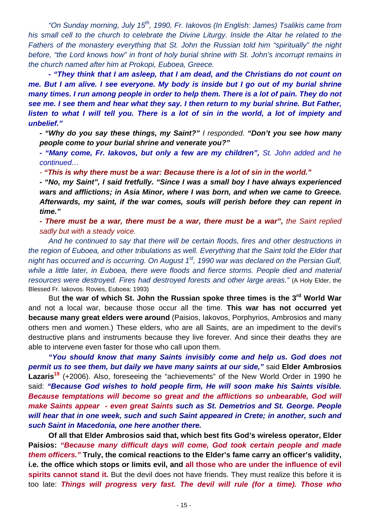*"On Sunday morning, July 15th, 1990, Fr. Iakovos (In English: James) Tsalikis came from his small cell to the church to celebrate the Divine Liturgy. Inside the Altar he related to the Fathers of the monastery everything that St. John the Russian told him "spiritually" the night before, "the Lord knows how" in front of holy burial shrine with St. John's incorrupt remains in the church named after him at Prokopi, Euboea, Greece.* 

*- "They think that I am asleep, that I am dead, and the Christians do not count on me. But I am alive. I see everyone. My body is inside but I go out of my burial shrine many times. I run among people in order to help them. There is a lot of pain. They do not see me. I see them and hear what they say. I then return to my burial shrine. But Father, listen to what I will tell you. There is a lot of sin in the world, a lot of impiety and unbelief."* 

*- "Why do you say these things, my Saint?" I responded. "Don't you see how many people come to your burial shrine and venerate you?"* 

*- "Many come, Fr. Iakovos, but only a few are my children", St. John added and he continued…* 

*- "This is why there must be a war: Because there is a lot of sin in the world."* 

*- "No, my Saint", I said fretfully. "Since I was a small boy I have always experienced wars and afflictions; in Asia Minor, where I was born, and when we came to Greece. Afterwards, my saint, if the war comes, souls will perish before they can repent in time."* 

*- There must be a war, there must be a war, there must be a war", the Saint replied sadly but with a steady voice.* 

*And he continued to say that there will be certain floods, fires and other destructions in the region of Euboea, and other tribulations as well. Everything that the Saint told the Elder that night has occurred and is occurring. On August 1st, 1990 war was declared on the Persian Gulf, while a little later, in Euboea, there were floods and fierce storms. People died and material resources were destroyed. Fires had destroyed forests and other large areas."* (A Holy Elder, the Blessed Fr. Iakovos. Rovies, Euboea: 1993)

 But **the war of which St. John the Russian spoke three times is the 3rd World War**  and not a local war, because those occur all the time. **This war has not occurred yet because many great elders were around** (Paisios, Iakovos, Porphyrios, Ambrosios and many others men and women.) These elders, who are all Saints, are an impediment to the devil's destructive plans and instruments because they live forever. And since their deaths they are able to intervene even faster for those who call upon them.

 *"You should know that many Saints invisibly come and help us. God does not permit us to see them, but daily we have many saints at our side,"* said **Elder Ambrosios**  Lazaris<sup>19</sup> (+2006). Also, foreseeing the "achievements" of the New World Order in 1990 he said: *"Because God wishes to hold people firm, He will soon make his Saints visible. Because temptations will become so great and the afflictions so unbearable, God will make Saints appear - even great Saints such as St. Demetrios and St. George. People will hear that in one week, such and such Saint appeared in Crete; in another, such and such Saint in Macedonia, one here another there.* 

 **Of all that Elder Ambrosios said that, which best fits God's wireless operator, Elder Paisios:** *"Because many difficult days will come, God took certain people and made them officers."* **Truly, the comical reactions to the Elder's fame carry an officer's validity, i.e. the office which stops or limits evil, and all those who are under the influence of evil**  spirits cannot stand it. But the devil does not have friends. They must realize this before it is too late: *Things will progress very fast. The devil will rule (for a time). Those who*